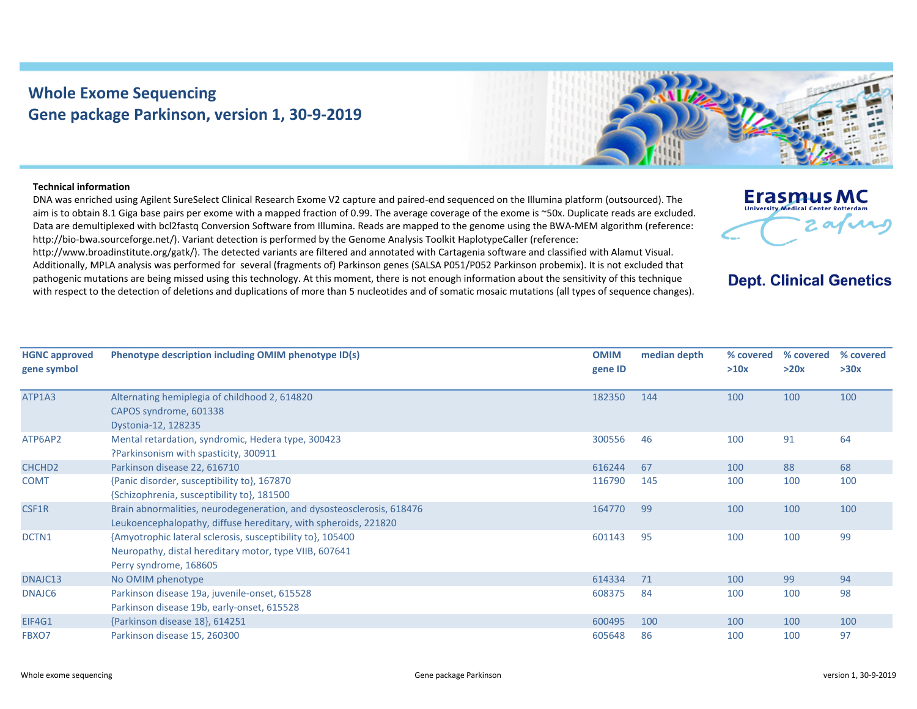## **Whole Exome Sequencing Gene package Parkinson, version 1, 30‐9‐2019**



## **Technical information**

DNA was enriched using Agilent SureSelect Clinical Research Exome V2 capture and paired‐end sequenced on the Illumina platform (outsourced). The aim is to obtain 8.1 Giga base pairs per exome with a mapped fraction of 0.99. The average coverage of the exome is ~50x. Duplicate reads are excluded. Data are demultiplexed with bcl2fastg Conversion Software from Illumina. Reads are mapped to the genome using the BWA-MEM algorithm (reference: http://bio-bwa.sourceforge.net/). Variant detection is performed by the Genome Analysis Toolkit HaplotypeCaller (reference:

http://www.broadinstitute.org/gatk/). The detected variants are filtered and annotated with Cartagenia software and classified with Alamut Visual. Additionally, MPLA analysis was performed for several (fragments of) Parkinson genes (SALSA P051/P052 Parkinson probemix). It is not excluded that pathogenic mutations are being missed using this technology. At this moment, there is not enough information about the sensitivity of this technique with respect to the detection of deletions and duplications of more than 5 nucleotides and of somatic mosaic mutations (all types of sequence changes).

| Erasmus MC<br><b>University Medical Center Rotterdam</b> |  |
|----------------------------------------------------------|--|
|                                                          |  |

## **Dept. Clinical Genetics**

| <b>HGNC approved</b><br>gene symbol | Phenotype description including OMIM phenotype ID(s)                                                                                           | <b>OMIM</b><br>gene ID | median depth | % covered<br>>10x | % covered<br>>20x | % covered<br>>30x |
|-------------------------------------|------------------------------------------------------------------------------------------------------------------------------------------------|------------------------|--------------|-------------------|-------------------|-------------------|
| ATP1A3                              | Alternating hemiplegia of childhood 2, 614820<br>CAPOS syndrome, 601338<br>Dystonia-12, 128235                                                 | 182350                 | 144          | 100               | 100               | 100               |
| ATP6AP2                             | Mental retardation, syndromic, Hedera type, 300423<br>?Parkinsonism with spasticity, 300911                                                    | 300556                 | 46           | 100               | 91                | 64                |
| CHCHD <sub>2</sub>                  | Parkinson disease 22, 616710                                                                                                                   | 616244                 | 67           | 100               | 88                | 68                |
| <b>COMT</b>                         | {Panic disorder, susceptibility to}, 167870<br>{Schizophrenia, susceptibility to}, 181500                                                      | 116790                 | 145          | 100               | 100               | 100               |
| CSF1R                               | Brain abnormalities, neurodegeneration, and dysosteosclerosis, 618476<br>Leukoencephalopathy, diffuse hereditary, with spheroids, 221820       | 164770                 | 99           | 100               | 100               | 100               |
| DCTN1                               | {Amyotrophic lateral sclerosis, susceptibility to}, 105400<br>Neuropathy, distal hereditary motor, type VIIB, 607641<br>Perry syndrome, 168605 | 601143                 | 95           | 100               | 100               | 99                |
| DNAJC13                             | No OMIM phenotype                                                                                                                              | 614334                 | 71           | 100               | 99                | 94                |
| DNAJC <sub>6</sub>                  | Parkinson disease 19a, juvenile-onset, 615528<br>Parkinson disease 19b, early-onset, 615528                                                    | 608375                 | 84           | 100               | 100               | 98                |
| EIF4G1                              | {Parkinson disease 18}, 614251                                                                                                                 | 600495                 | 100          | 100               | 100               | 100               |
| FBXO7                               | Parkinson disease 15, 260300                                                                                                                   | 605648                 | 86           | 100               | 100               | 97                |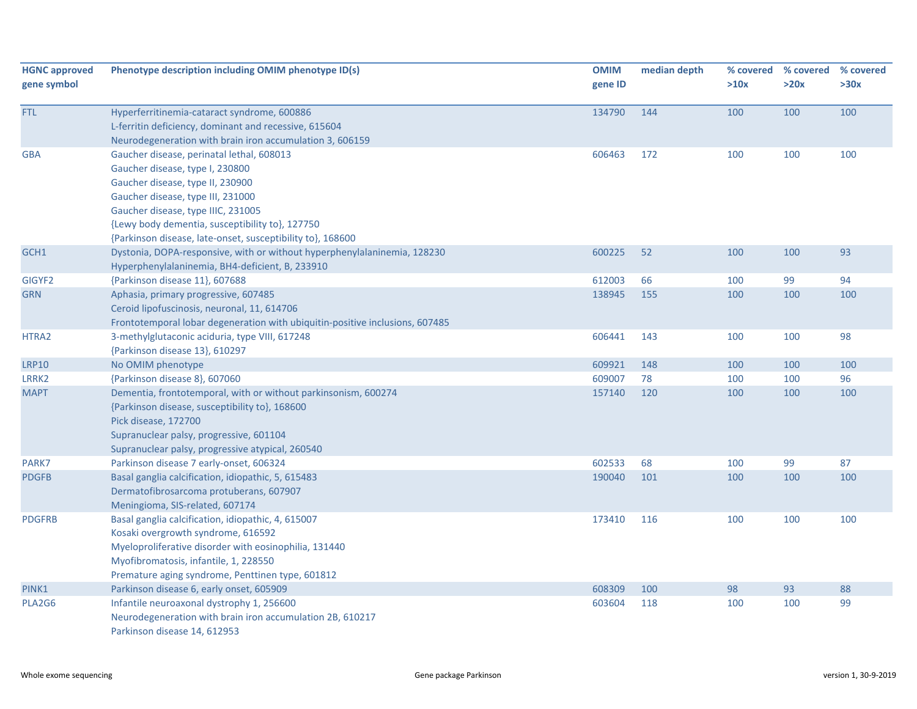| <b>HGNC approved</b> | Phenotype description including OMIM phenotype ID(s)                                                   | <b>OMIM</b> | median depth | % covered | % covered | % covered |
|----------------------|--------------------------------------------------------------------------------------------------------|-------------|--------------|-----------|-----------|-----------|
| gene symbol          |                                                                                                        | gene ID     |              | >10x      | >20x      | >30x      |
| <b>FTL</b>           | Hyperferritinemia-cataract syndrome, 600886                                                            | 134790      | 144          | 100       | 100       | 100       |
|                      | L-ferritin deficiency, dominant and recessive, 615604                                                  |             |              |           |           |           |
|                      | Neurodegeneration with brain iron accumulation 3, 606159                                               |             |              |           |           |           |
| <b>GBA</b>           | Gaucher disease, perinatal lethal, 608013                                                              | 606463      | 172          | 100       | 100       | 100       |
|                      | Gaucher disease, type I, 230800                                                                        |             |              |           |           |           |
|                      | Gaucher disease, type II, 230900                                                                       |             |              |           |           |           |
|                      | Gaucher disease, type III, 231000                                                                      |             |              |           |           |           |
|                      | Gaucher disease, type IIIC, 231005                                                                     |             |              |           |           |           |
|                      | {Lewy body dementia, susceptibility to}, 127750                                                        |             |              |           |           |           |
|                      | {Parkinson disease, late-onset, susceptibility to}, 168600                                             |             |              |           |           |           |
| GCH1                 | Dystonia, DOPA-responsive, with or without hyperphenylalaninemia, 128230                               | 600225      | 52           | 100       | 100       | 93        |
|                      | Hyperphenylalaninemia, BH4-deficient, B, 233910                                                        |             |              |           |           |           |
| GIGYF2               | {Parkinson disease 11}, 607688                                                                         | 612003      | 66           | 100       | 99        | 94        |
| <b>GRN</b>           | Aphasia, primary progressive, 607485                                                                   | 138945      | 155          | 100       | 100       | 100       |
|                      | Ceroid lipofuscinosis, neuronal, 11, 614706                                                            |             |              |           |           |           |
|                      | Frontotemporal lobar degeneration with ubiquitin-positive inclusions, 607485                           |             |              |           |           |           |
| HTRA2                | 3-methylglutaconic aciduria, type VIII, 617248                                                         | 606441      | 143          | 100       | 100       | 98        |
|                      | {Parkinson disease 13}, 610297                                                                         |             |              |           |           |           |
| <b>LRP10</b>         | No OMIM phenotype                                                                                      | 609921      | 148          | 100       | 100       | 100       |
| LRRK2                | {Parkinson disease 8}, 607060                                                                          | 609007      | 78           | 100       | 100       | 96        |
| <b>MAPT</b>          | Dementia, frontotemporal, with or without parkinsonism, 600274                                         | 157140      | 120          | 100       | 100       | 100       |
|                      | {Parkinson disease, susceptibility to}, 168600                                                         |             |              |           |           |           |
|                      | Pick disease, 172700                                                                                   |             |              |           |           |           |
|                      | Supranuclear palsy, progressive, 601104                                                                |             |              |           |           |           |
|                      | Supranuclear palsy, progressive atypical, 260540                                                       |             |              |           |           |           |
| PARK7                | Parkinson disease 7 early-onset, 606324                                                                | 602533      | 68           | 100       | 99        | 87        |
| <b>PDGFB</b>         | Basal ganglia calcification, idiopathic, 5, 615483                                                     | 190040      | 101          | 100       | 100       | 100       |
|                      | Dermatofibrosarcoma protuberans, 607907                                                                |             |              |           |           |           |
|                      | Meningioma, SIS-related, 607174                                                                        |             |              |           |           |           |
| <b>PDGFRB</b>        | Basal ganglia calcification, idiopathic, 4, 615007                                                     | 173410      | 116          | 100       | 100       | 100       |
|                      | Kosaki overgrowth syndrome, 616592                                                                     |             |              |           |           |           |
|                      | Myeloproliferative disorder with eosinophilia, 131440                                                  |             |              |           |           |           |
|                      | Myofibromatosis, infantile, 1, 228550                                                                  |             |              |           |           |           |
|                      | Premature aging syndrome, Penttinen type, 601812                                                       |             |              |           |           |           |
| PINK1                | Parkinson disease 6, early onset, 605909                                                               | 608309      | 100          | 98        | 93        | 88        |
| PLA2G6               | Infantile neuroaxonal dystrophy 1, 256600<br>Neurodegeneration with brain iron accumulation 2B, 610217 | 603604      | 118          | 100       | 100       | 99        |
|                      | Parkinson disease 14, 612953                                                                           |             |              |           |           |           |
|                      |                                                                                                        |             |              |           |           |           |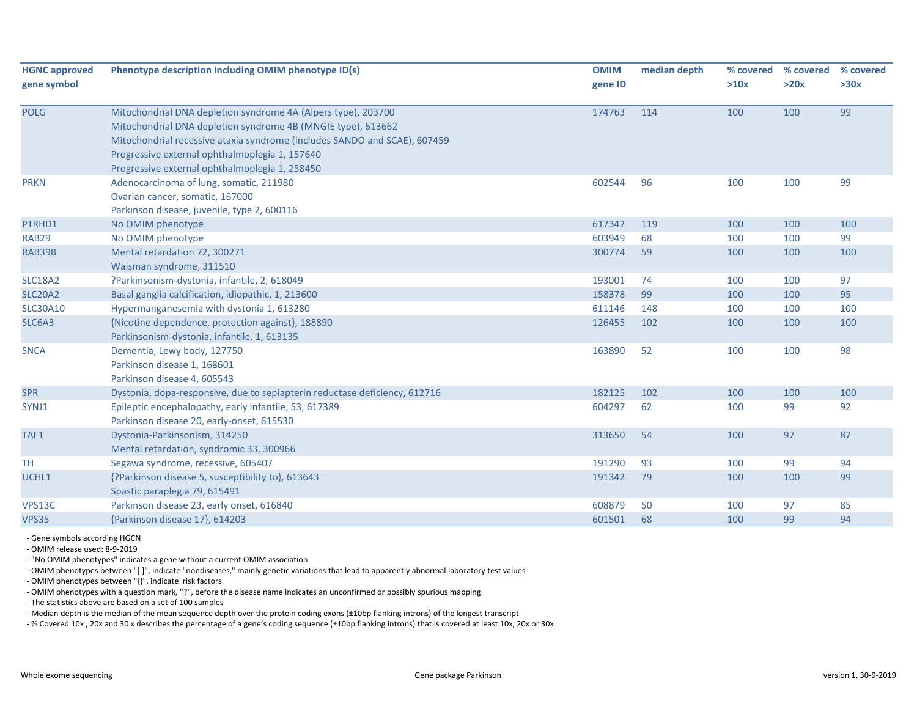| <b>HGNC approved</b><br>gene symbol | Phenotype description including OMIM phenotype ID(s)                                                                                                                                                                                                                                                           | <b>OMIM</b><br>gene ID | median depth | % covered<br>>10x | % covered<br>>20x | % covered<br>>30x |
|-------------------------------------|----------------------------------------------------------------------------------------------------------------------------------------------------------------------------------------------------------------------------------------------------------------------------------------------------------------|------------------------|--------------|-------------------|-------------------|-------------------|
| <b>POLG</b>                         | Mitochondrial DNA depletion syndrome 4A (Alpers type), 203700<br>Mitochondrial DNA depletion syndrome 4B (MNGIE type), 613662<br>Mitochondrial recessive ataxia syndrome (includes SANDO and SCAE), 607459<br>Progressive external ophthalmoplegia 1, 157640<br>Progressive external ophthalmoplegia 1, 258450 | 174763                 | 114          | 100               | 100               | 99                |
| <b>PRKN</b>                         | Adenocarcinoma of lung, somatic, 211980<br>Ovarian cancer, somatic, 167000<br>Parkinson disease, juvenile, type 2, 600116                                                                                                                                                                                      | 602544                 | 96           | 100               | 100               | 99                |
| PTRHD1                              | No OMIM phenotype                                                                                                                                                                                                                                                                                              | 617342                 | 119          | 100               | 100               | 100               |
| <b>RAB29</b>                        | No OMIM phenotype                                                                                                                                                                                                                                                                                              | 603949                 | 68           | 100               | 100               | 99                |
| RAB39B                              | Mental retardation 72, 300271<br>Waisman syndrome, 311510                                                                                                                                                                                                                                                      | 300774                 | 59           | 100               | 100               | 100               |
| <b>SLC18A2</b>                      | ?Parkinsonism-dystonia, infantile, 2, 618049                                                                                                                                                                                                                                                                   | 193001                 | 74           | 100               | 100               | 97                |
| <b>SLC20A2</b>                      | Basal ganglia calcification, idiopathic, 1, 213600                                                                                                                                                                                                                                                             | 158378                 | 99           | 100               | 100               | 95                |
| <b>SLC30A10</b>                     | Hypermanganesemia with dystonia 1, 613280                                                                                                                                                                                                                                                                      | 611146                 | 148          | 100               | 100               | 100               |
| SLC6A3                              | {Nicotine dependence, protection against}, 188890<br>Parkinsonism-dystonia, infantile, 1, 613135                                                                                                                                                                                                               | 126455                 | 102          | 100               | 100               | 100               |
| <b>SNCA</b>                         | Dementia, Lewy body, 127750<br>Parkinson disease 1, 168601<br>Parkinson disease 4, 605543                                                                                                                                                                                                                      | 163890                 | 52           | 100               | 100               | 98                |
| <b>SPR</b>                          | Dystonia, dopa-responsive, due to sepiapterin reductase deficiency, 612716                                                                                                                                                                                                                                     | 182125                 | 102          | 100               | 100               | 100               |
| SYNJ1                               | Epileptic encephalopathy, early infantile, 53, 617389<br>Parkinson disease 20, early-onset, 615530                                                                                                                                                                                                             | 604297                 | 62           | 100               | 99                | 92                |
| TAF1                                | Dystonia-Parkinsonism, 314250<br>Mental retardation, syndromic 33, 300966                                                                                                                                                                                                                                      | 313650                 | 54           | 100               | 97                | 87                |
| <b>TH</b>                           | Segawa syndrome, recessive, 605407                                                                                                                                                                                                                                                                             | 191290                 | 93           | 100               | 99                | 94                |
| UCHL1                               | {?Parkinson disease 5, susceptibility to}, 613643<br>Spastic paraplegia 79, 615491                                                                                                                                                                                                                             | 191342                 | 79           | 100               | 100               | 99                |
| VPS13C                              | Parkinson disease 23, early onset, 616840                                                                                                                                                                                                                                                                      | 608879                 | 50           | 100               | 97                | 85                |
| <b>VPS35</b>                        | {Parkinson disease 17}, 614203                                                                                                                                                                                                                                                                                 | 601501                 | 68           | 100               | 99                | 94                |

‐ Gene symbols according HGCN

‐ OMIM release used: 8‐9‐2019

‐ "No OMIM phenotypes" indicates a gene without a current OMIM association

‐ OMIM phenotypes between "[ ]", indicate "nondiseases," mainly genetic variations that lead to apparently abnormal laboratory test values

‐ OMIM phenotypes between "{}", indicate risk factors

‐ OMIM phenotypes with a question mark, "?", before the disease name indicates an unconfirmed or possibly spurious mapping

‐ The statistics above are based on a set of 100 samples

‐ Median depth is the median of the mean sequence depth over the protein coding exons (±10bp flanking introns) of the longest transcript

‐ % Covered 10x , 20x and 30 x describes the percentage of a gene's coding sequence (±10bp flanking introns) that is covered at least 10x, 20x or 30x